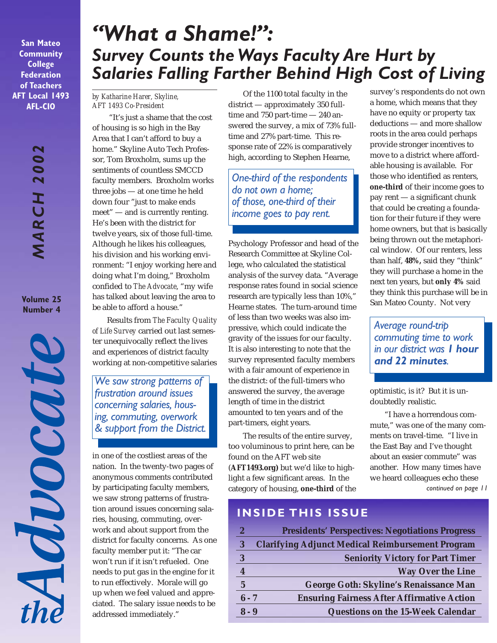**San Mateo Community College Federation of Teachers AFT Local 1493 AFL-CIO**

> *MARCH 2002* **MARCH 200**

**Volume 25 Number 4**

MOOCOUT

# *"What a Shame!": Survey Counts the Ways Faculty Are Hurt by Salaries Falling Farther Behind High Cost of Living*

#### *by Katharine Harer, Skyline, AFT 1493 Co-President*

 "It's just a shame that the cost of housing is so high in the Bay Area that I can't afford to buy a home." Skyline Auto Tech Professor, Tom Broxholm, sums up the sentiments of countless SMCCD faculty members. Broxholm works three jobs — at one time he held down four "just to make ends meet" — and is currently renting. He's been with the district for twelve years, six of those full-time. Although he likes his colleagues, his division and his working environment: "I enjoy working here and doing what I'm doing," Broxholm confided to *The Advocate*, "my wife has talked about leaving the area to be able to afford a house."

Results from *The Faculty Quality of Life Survey* carried out last semester unequivocally reflect the lives and experiences of district faculty working at non-competitive salaries

*We saw strong patterns of frustration around issues concerning salaries, housing, commuting, overwork & support from the District.*

in one of the costliest areas of the nation. In the twenty-two pages of anonymous comments contributed by participating faculty members, we saw strong patterns of frustration around issues concerning salaries, housing, commuting, overwork and about support from the district for faculty concerns. As one faculty member put it: "The car won't run if it isn't refueled. One needs to put gas in the engine for it to run effectively. Morale will go up when we feel valued and appreciated. The salary issue needs to be addressed immediately."

Of the 1100 total faculty in the district — approximately 350 fulltime and 750 part-time — 240 answered the survey, a mix of 73% fulltime and 27% part-time. This response rate of 22% is comparatively high, according to Stephen Hearne,

*One-third of the respondents do not own a home; of those, one-third of their income goes to pay rent.*

Psychology Professor and head of the Research Committee at Skyline College, who calculated the statistical analysis of the survey data. "Average response rates found in social science research are typically less than 10%," Hearne states. The turn-around time of less than two weeks was also impressive, which could indicate the gravity of the issues for our faculty. It is also interesting to note that the survey represented faculty members with a fair amount of experience in the district: of the full-timers who answered the survey, the average length of time in the district amounted to ten years and of the part-timers, eight years.

The results of the entire survey, too voluminous to print here, can be found on the AFT web site (**AFT1493.org)** but we'd like to highlight a few significant areas. In the category of housing, **one-third** of the

survey's respondents do not own a home, which means that they have no equity or property tax deductions — and more shallow roots in the area could perhaps provide stronger incentives to move to a district where affordable housing is available. For those who identified as renters, **one-third** of their income goes to pay rent — a significant chunk that could be creating a foundation for their future if they were home owners, but that is basically being thrown out the metaphorical window. Of our renters, less than half, **48%,** said they "think" they will purchase a home in the next ten years, but **only 4%** said they think this purchase will be in San Mateo County. Not very

*Average round-trip commuting time to work in our district was 1 hour and 22 minutes.*

optimistic, is it? But it is undoubtedly realistic.

"I have a horrendous commute," was one of the many comments on travel-time. "I live in the East Bay and I've thought about an easier commute" was another. How many times have we heard colleagues echo these *continued on page 11*

# **INSIDE THIS ISSUE**

| $\overline{2}$ | <b>Presidents' Perspectives: Negotiations Progress</b>  |
|----------------|---------------------------------------------------------|
| 3              | <b>Clarifying Adjunct Medical Reimbursement Program</b> |
| 3              | <b>Seniority Victory for Part Timer</b>                 |
|                | <b>Way Over the Line</b>                                |
| $\mathbf{5}$   | George Goth: Skyline's Renaissance Man                  |
| $6 - 7$        | <b>Ensuring Fairness After Affirmative Action</b>       |
| $8 - 9$        | Questions on the 15-Week Calendar                       |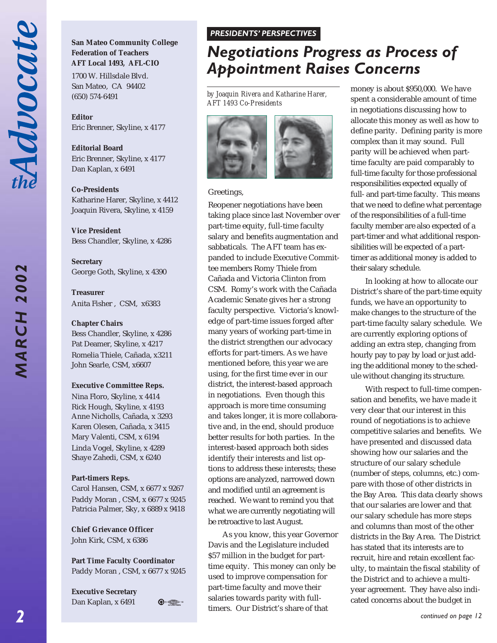**MARCH 2002** 

# **San Mateo Community College Federation of Teachers AFT Local 1493, AFL-CIO**

1700 W. Hillsdale Blvd. San Mateo, CA 94402 (650) 574-6491

**Editor** Eric Brenner, Skyline, x 4177

**Editorial Board** Eric Brenner, Skyline, x 4177 Dan Kaplan, x 6491

**Co-Presidents** Katharine Harer, Skyline, x 4412 Joaquin Rivera, Skyline, x 4159

**Vice President** Bess Chandler, Skyline, x 4286

**Secretary** George Goth, Skyline, x 4390

**Treasurer** Anita Fisher , CSM, x6383

#### **Chapter Chairs**

Bess Chandler, Skyline, x 4286 Pat Deamer, Skyline, x 4217 Romelia Thiele, Cañada, x3211 John Searle, CSM, x6607

#### **Executive Committee Reps.**

Nina Floro, Skyline, x 4414 Rick Hough, Skyline, x 4193 Anne Nicholls, Cañada, x 3293 Karen Olesen, Cañada, x 3415 Mary Valenti, CSM, x 6194 Linda Vogel, Skyline, x 4289 Shaye Zahedi, CSM, x 6240

#### **Part-timers Reps.**

Carol Hansen, CSM, x 6677 x 9267 Paddy Moran , CSM, x 6677 x 9245 Patricia Palmer, Sky, x 6889 x 9418

**Chief Grievance Officer** John Kirk, CSM, x 6386

**Part Time Faculty Coordinator** Paddy Moran , CSM, x 6677 x 9245

**Executive Secretary** Dan Kaplan, x 6491

 $\bigoplus$   $\bigoplus_{i=1}^n$ 

#### *PRESIDENTS' PERSPECTIVES PRESIDENTS' PERSPECTIVES*

# *Negotiations Progress as Process of Appointment Raises Concerns*

*by Joaquin Rivera and Katharine Harer, AFT 1493 Co-Presidents*



#### Greetings,

Reopener negotiations have been taking place since last November over part-time equity, full-time faculty salary and benefits augmentation and sabbaticals. The AFT team has expanded to include Executive Committee members Romy Thiele from Cañada and Victoria Clinton from CSM. Romy's work with the Cañada Academic Senate gives her a strong faculty perspective. Victoria's knowledge of part-time issues forged after many years of working part-time in the district strengthen our advocacy efforts for part-timers. As we have mentioned before, this year we are using, for the first time ever in our district, the interest-based approach in negotiations. Even though this approach is more time consuming and takes longer, it is more collaborative and, in the end, should produce better results for both parties. In the interest-based approach both sides identify their interests and list options to address these interests; these options are analyzed, narrowed down and modified until an agreement is reached. We want to remind you that what we are currently negotiating will be retroactive to last August.

As you know, this year Governor Davis and the Legislature included \$57 million in the budget for parttime equity. This money can only be used to improve compensation for part-time faculty and move their salaries towards parity with fulltimers. Our District's share of that

money is about \$950,000. We have spent a considerable amount of time in negotiations discussing how to allocate this money as well as how to define parity. Defining parity is more complex than it may sound. Full parity will be achieved when parttime faculty are paid comparably to full-time faculty for those professional responsibilities expected equally of full- and part-time faculty. This means that we need to define what percentage of the responsibilities of a full-time faculty member are also expected of a part-timer and what additional responsibilities will be expected of a parttimer as additional money is added to their salary schedule.

In looking at how to allocate our District's share of the part-time equity funds, we have an opportunity to make changes to the structure of the part-time faculty salary schedule. We are currently exploring options of adding an extra step, changing from hourly pay to pay by load or just adding the additional money to the schedule without changing its structure.

With respect to full-time compensation and benefits, we have made it very clear that our interest in this round of negotiations is to achieve competitive salaries and benefits. We have presented and discussed data showing how our salaries and the structure of our salary schedule (number of steps, columns, etc.) compare with those of other districts in the Bay Area. This data clearly shows that our salaries are lower and that our salary schedule has more steps and columns than most of the other districts in the Bay Area. The District has stated that its interests are to recruit, hire and retain excellent faculty, to maintain the fiscal stability of the District and to achieve a multiyear agreement. They have also indicated concerns about the budget in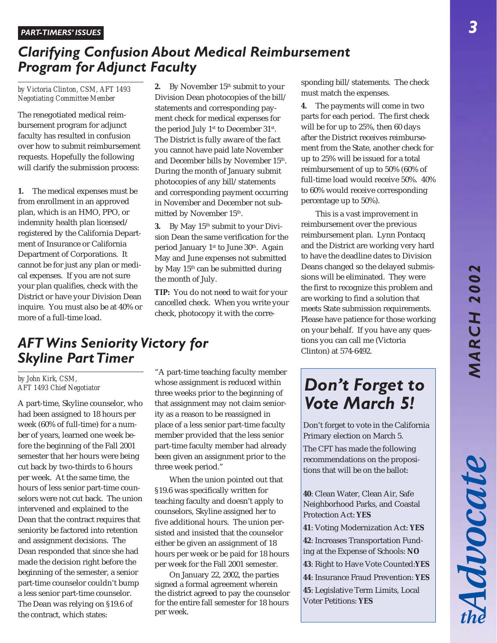Advocat

# *Clarifying Confusion About Medical Reimbursement Program for Adjunct Faculty*

*by Victoria Clinton, CSM, AFT 1493 Negotiating Committee Member*

The renegotiated medical reimbursement program for adjunct faculty has resulted in confusion over how to submit reimbursement requests. Hopefully the following will clarify the submission process:

**1.** The medical expenses must be from enrollment in an approved plan, which is an HMO, PPO, or indemnity health plan licensed/ registered by the California Department of Insurance or California Department of Corporations. It cannot be for just any plan or medical expenses. If you are not sure your plan qualifies, check with the District or have your Division Dean inquire. You must also be at 40% or more of a full-time load.

**2.** By November 15<sup>th</sup> submit to your Division Dean photocopies of the bill/ statements and corresponding payment check for medical expenses for the period July 1<sup>st</sup> to December 31<sup>st</sup>. The District is fully aware of the fact you cannot have paid late November and December bills by November 15th. During the month of January submit photocopies of any bill/statements and corresponding payment occurring in November and December not submitted by November 15th.

**3.** By May 15<sup>th</sup> submit to your Division Dean the same verification for the period January 1<sup>st</sup> to June 30<sup>th</sup>. Again May and June expenses not submitted by May 15<sup>th</sup> can be submitted during the month of July.

**TIP:** You do not need to wait for your cancelled check. When you write your check, photocopy it with the corresponding bill/statements. The check must match the expenses.

**4.** The payments will come in two parts for each period. The first check will be for up to 25%, then 60 days after the District receives reimbursement from the State, another check for up to 25% will be issued for a total reimbursement of up to 50% (60% of full-time load would receive 50%. 40% to 60% would receive corresponding percentage up to 50%).

This is a vast improvement in reimbursement over the previous reimbursement plan. Lynn Pontacq and the District are working very hard to have the deadline dates to Division Deans changed so the delayed submissions will be eliminated. They were the first to recognize this problem and are working to find a solution that meets State submission requirements. Please have patience for those working on your behalf. If you have any questions you can call me (Victoria Clinton) at 574-6492.

# *AFT Wins Seniority Victory for Skyline Part Timer*

#### *by John Kirk, CSM, AFT 1493 Chief Negotiator*

A part-time, Skyline counselor, who had been assigned to 18 hours per week (60% of full-time) for a number of years, learned one week before the beginning of the Fall 2001 semester that her hours were being cut back by two-thirds to 6 hours per week. At the same time, the hours of less senior part-time counselors were not cut back. The union intervened and explained to the Dean that the contract requires that seniority be factored into retention and assignment decisions. The Dean responded that since she had made the decision right before the beginning of the semester, a senior part-time counselor couldn't bump a less senior part-time counselor. The Dean was relying on §19.6 of the contract, which states:

"A part-time teaching faculty member whose assignment is reduced within three weeks prior to the beginning of that assignment may not claim seniority as a reason to be reassigned in place of a less senior part-time faculty member provided that the less senior part-time faculty member had already been given an assignment prior to the three week period."

When the union pointed out that §19.6 was specifically written for teaching faculty and doesn't apply to counselors, Skyline assigned her to five additional hours. The union persisted and insisted that the counselor either be given an assignment of 18 hours per week or be paid for 18 hours per week for the Fall 2001 semester.

On January 22, 2002, the parties signed a formal agreement wherein the district agreed to pay the counselor for the entire fall semester for 18 hours per week.

# *Don't Forget to Vote March 5!*

Don't forget to vote in the California Primary election on March 5.

The CFT has made the following recommendations on the propositions that will be on the ballot:

**40**: Clean Water, Clean Air, Safe Neighborhood Parks, and Coastal Protection Act: **YES**

**41**: Voting Modernization Act: **YES**

**42**: Increases Transportation Funding at the Expense of Schools: **NO 43**: Right to Have Vote Counted:**YES**

**44**: Insurance Fraud Prevention: **YES**

**45**: Legislative Term Limits, Local Voter Petitions: **YES**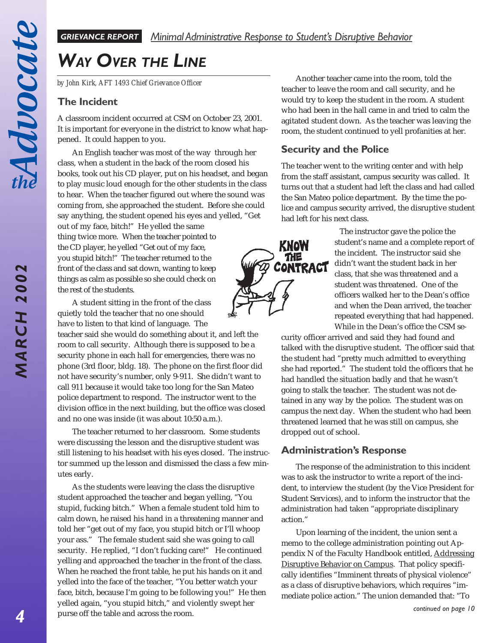**MARCH 2002** 

# *WAY OVER THE LINE*

*by John Kirk, AFT 1493 Chief Grievance Officer*

## **The Incident**

A classroom incident occurred at CSM on October 23, 2001. It is important for everyone in the district to know what happened. It could happen to you.

An English teacher was most of the way through her class, when a student in the back of the room closed his books, took out his CD player, put on his headset, and began to play music loud enough for the other students in the class to hear. When the teacher figured out where the sound was coming from, she approached the student. Before she could say anything, the student opened his eyes and yelled, "Get

out of my face, bitch!" He yelled the same thing twice more. When the teacher pointed to the CD player, he yelled "Get out of my face, you stupid bitch!" The teacher returned to the front of the class and sat down, wanting to keep things as calm as possible so she could check on the rest of the students.

A student sitting in the front of the class quietly told the teacher that no one should have to listen to that kind of language. The

teacher said she would do something about it, and left the room to call security. Although there is supposed to be a security phone in each hall for emergencies, there was no phone (3rd floor, bldg. 18). The phone on the first floor did not have security's number, only 9-911. She didn't want to call 911 because it would take too long for the San Mateo police department to respond. The instructor went to the division office in the next building, but the office was closed and no one was inside (it was about 10:50 a.m.).

The teacher returned to her classroom. Some students were discussing the lesson and the disruptive student was still listening to his headset with his eyes closed. The instructor summed up the lesson and dismissed the class a few minutes early.

As the students were leaving the class the disruptive student approached the teacher and began yelling, "You stupid, fucking bitch." When a female student told him to calm down, he raised his hand in a threatening manner and told her "get out of my face, you stupid bitch or I'll whoop your ass." The female student said she was going to call security. He replied, "I don't fucking care!" He continued yelling and approached the teacher in the front of the class. When he reached the front table, he put his hands on it and yelled into the face of the teacher, "You better watch your face, bitch, because I'm going to be following you!" He then yelled again, "you stupid bitch," and violently swept her purse off the table and across the room.

Another teacher came into the room, told the teacher to leave the room and call security, and he would try to keep the student in the room. A student who had been in the hall came in and tried to calm the agitated student down. As the teacher was leaving the room, the student continued to yell profanities at her.

## **Security and the Police**

The teacher went to the writing center and with help from the staff assistant, campus security was called. It turns out that a student had left the class and had called the San Mateo police department. By the time the police and campus security arrived, the disruptive student had left for his next class.



The instructor gave the police the student's name and a complete report of the incident. The instructor said she didn't want the student back in her class, that she was threatened and a student was threatened. One of the officers walked her to the Dean's office and when the Dean arrived, the teacher repeated everything that had happened. While in the Dean's office the CSM se-

curity officer arrived and said they had found and talked with the disruptive student. The officer said that the student had "pretty much admitted to everything she had reported." The student told the officers that he had handled the situation badly and that he wasn't going to stalk the teacher. The student was not detained in any way by the police. The student was on campus the next day. When the student who had been threatened learned that he was still on campus, she dropped out of school.

## **Administration's Response**

The response of the administration to this incident was to ask the instructor to write a report of the incident, to interview the student (by the Vice President for Student Services), and to inform the instructor that the administration had taken "appropriate disciplinary action."

Upon learning of the incident, the union sent a memo to the college administration pointing out Appendix N of the Faculty Handbook entitled, Addressing Disruptive Behavior on Campus. That policy specifically identifies "Imminent threats of physical violence" as a class of disruptive behaviors, which requires "immediate police action." The union demanded that: "To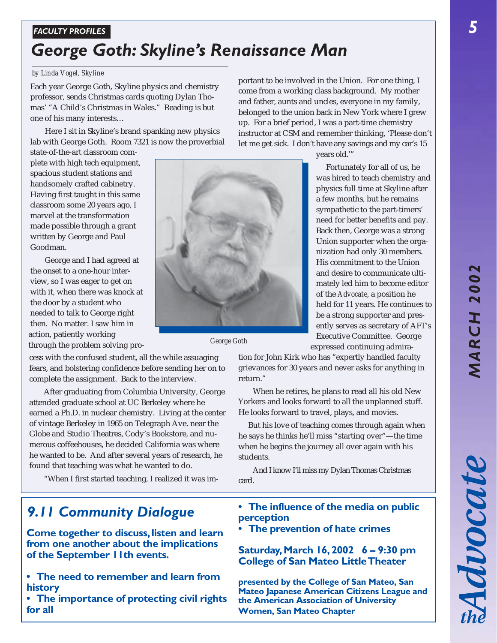*5*

# *FACULTY PROFILES*

# *George Goth: Skyline's Renaissance Man*

## *by Linda Vogel, Skyline*

Each year George Goth, Skyline physics and chemistry professor, sends Christmas cards quoting Dylan Thomas' "A Child's Christmas in Wales." Reading is but one of his many interests…

Here I sit in Skyline's brand spanking new physics lab with George Goth. Room 7321 is now the proverbial

state-of-the-art classroom complete with high tech equipment, spacious student stations and handsomely crafted cabinetry. Having first taught in this same classroom some 20 years ago, I marvel at the transformation made possible through a grant written by George and Paul Goodman.

George and I had agreed at the onset to a one-hour interview, so I was eager to get on with it, when there was knock at the door by a student who needed to talk to George right then. No matter. I saw him in action, patiently working through the problem solving pro- *George Goth*

cess with the confused student, all the while assuaging fears, and bolstering confidence before sending her on to complete the assignment. Back to the interview.

After graduating from Columbia University, George attended graduate school at UC Berkeley where he earned a Ph.D. in nuclear chemistry. Living at the center of vintage Berkeley in 1965 on Telegraph Ave. near the Globe and Studio Theatres, Cody's Bookstore, and numerous coffeehouses, he decided California was where he wanted to be. And after several years of research, he found that teaching was what he wanted to do.

"When I first started teaching, I realized it was im-

# *9.11 Community Dialogue*

**Come together to discuss, listen and learn from one another about the implications of the September 11th events.**

- **The need to remember and learn from history**
- **The importance of protecting civil rights for all**

portant to be involved in the Union. For one thing, I come from a working class background. My mother and father, aunts and uncles, everyone in my family, belonged to the union back in New York where I grew up. For a brief period, I was a part-time chemistry instructor at CSM and remember thinking, 'Please don't let me get sick. I don't have any savings and my car's 15



Fortunately for all of us, he was hired to teach chemistry and physics full time at Skyline after a few months, but he remains sympathetic to the part-timers' need for better benefits and pay. Back then, George was a strong Union supporter when the organization had only 30 members. His commitment to the Union and desire to communicate ultimately led him to become editor of the *Advocate*, a position he held for 11 years. He continues to be a strong supporter and presently serves as secretary of AFT's Executive Committee. George expressed continuing admira-

tion for John Kirk who has "expertly handled faculty grievances for 30 years and never asks for anything in return."

When he retires, he plans to read all his old New Yorkers and looks forward to all the unplanned stuff. He looks forward to travel, plays, and movies.

 But his love of teaching comes through again when he says he thinks he'll miss "starting over"—the time when he begins the journey all over again with his students.

And I know I'll miss my Dylan Thomas Christmas card.

- **The influence of the media on public perception**
- **The prevention of hate crimes**

# **Saturday, March 16, 2002 6 – 9:30 pm College of San Mateo Little Theater**

**presented by the College of San Mateo, San Mateo Japanese American Citizens League and the American Association of University Women, San Mateo Chapter**

Advocate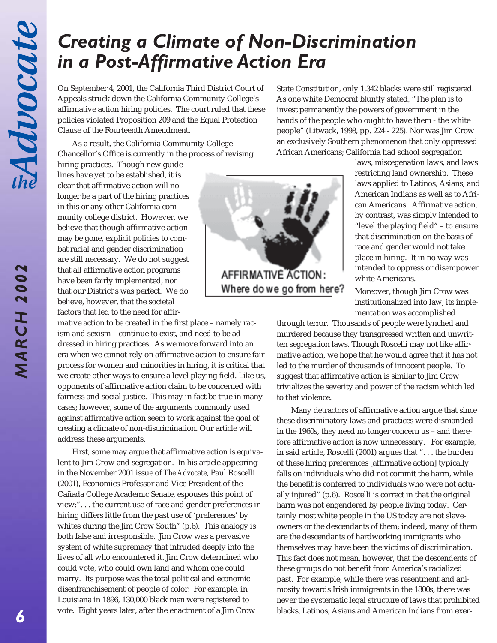# *Creating a Climate of Non-Discrimination in a Post-Affirmative Action Era*

On September 4, 2001, the California Third District Court of Appeals struck down the California Community College's affirmative action hiring policies. The court ruled that these policies violated Proposition 209 and the Equal Protection Clause of the Fourteenth Amendment.

As a result, the California Community College Chancellor's Office is currently in the process of revising State Constitution, only 1,342 blacks were still registered. As one white Democrat bluntly stated, "The plan is to invest permanently the powers of government in the hands of the people who ought to have them - the white people" (Litwack, 1998, pp. 224 - 225). Nor was Jim Crow an exclusively Southern phenomenon that only oppressed African Americans; California had school segregation

hiring practices. Though new guidelines have yet to be established, it is clear that affirmative action will no longer be a part of the hiring practices in this or any other California community college district. However, we believe that though affirmative action may be gone, explicit policies to combat racial and gender discrimination are still necessary. We do not suggest that all affirmative action programs have been fairly implemented, nor that our District's was perfect. We do believe, however, that the societal factors that led to the need for affir-

mative action to be created in the first place – namely racism and sexism – continue to exist, and need to be addressed in hiring practices. As we move forward into an era when we cannot rely on affirmative action to ensure fair process for women and minorities in hiring, it is critical that we create other ways to ensure a level playing field. Like us, opponents of affirmative action claim to be concerned with fairness and social justice. This may in fact be true in many cases; however, some of the arguments commonly used against affirmative action seem to work against the goal of creating a climate of non-discrimination. Our article will address these arguments.

First, some may argue that affirmative action is equivalent to Jim Crow and segregation. In his article appearing in the November 2001 issue of *The Advocate*, Paul Roscelli (2001), Economics Professor and Vice President of the Cañada College Academic Senate, espouses this point of view:". . . the current use of race and gender preferences in hiring differs little from the past use of 'preferences' by whites during the Jim Crow South" (p.6). This analogy is both false and irresponsible. Jim Crow was a pervasive system of white supremacy that intruded deeply into the lives of all who encountered it. Jim Crow determined who could vote, who could own land and whom one could marry. Its purpose was the total political and economic disenfranchisement of people of color. For example, in Louisiana in 1896, 130,000 black men were registered to vote. Eight years later, after the enactment of a Jim Crow



laws, miscegenation laws, and laws restricting land ownership. These laws applied to Latinos, Asians, and American Indians as well as to African Americans. Affirmative action, by contrast, was simply intended to "level the playing field" – to ensure that discrimination on the basis of race and gender would not take place in hiring. It in no way was intended to oppress or disempower white Americans.

Moreover, though Jim Crow was institutionalized into law, its implementation was accomplished

through terror. Thousands of people were lynched and murdered because they transgressed written and unwritten segregation laws. Though Roscelli may not like affirmative action, we hope that he would agree that it has not led to the murder of thousands of innocent people. To suggest that affirmative action is similar to Jim Crow trivializes the severity and power of the racism which led to that violence.

Many detractors of affirmative action argue that since these discriminatory laws and practices were dismantled in the 1960s, they need no longer concern us – and therefore affirmative action is now unnecessary. For example, in said article, Roscelli (2001) argues that ". . . the burden of these hiring preferences [affirmative action] typically falls on individuals who did not commit the harm, while the benefit is conferred to individuals who were not actually injured" (p.6). Roscelli is correct in that the original harm was not engendered by people living today. Certainly most white people in the US today are not slaveowners or the descendants of them; indeed, many of them are the descendants of hardworking immigrants who themselves may have been the victims of discrimination. This fact does not mean, however, that the descendents of these groups do not benefit from America's racialized past. For example, while there was resentment and animosity towards Irish immigrants in the 1800s, there was never the systematic legal structure of laws that prohibited blacks, Latinos, Asians and American Indians from exer-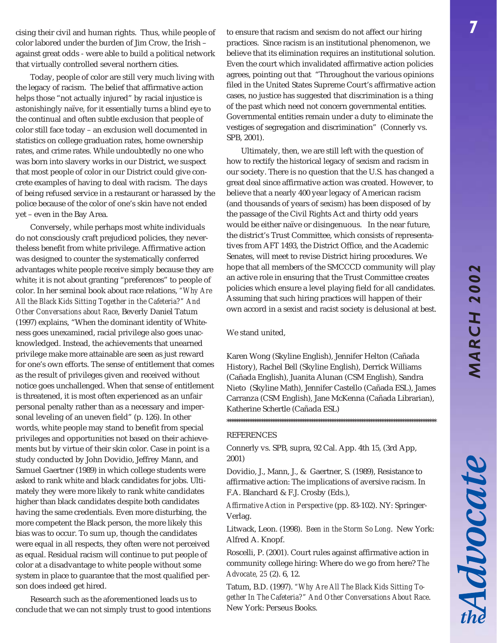Advocate

cising their civil and human rights. Thus, while people of color labored under the burden of Jim Crow, the Irish – against great odds - were able to build a political network that virtually controlled several northern cities.

Today, people of color are still very much living with the legacy of racism. The belief that affirmative action helps those "not actually injured" by racial injustice is astonishingly naïve, for it essentially turns a blind eye to the continual and often subtle exclusion that people of color still face today – an exclusion well documented in statistics on college graduation rates, home ownership rates, and crime rates. While undoubtedly no one who was born into slavery works in our District, we suspect that most people of color in our District could give concrete examples of having to deal with racism. The days of being refused service in a restaurant or harassed by the police because of the color of one's skin have not ended yet – even in the Bay Area.

Conversely, while perhaps most white individuals do not consciously craft prejudiced policies, they nevertheless benefit from white privilege. Affirmative action was designed to counter the systematically conferred advantages white people receive simply because they are white; it is not about granting "preferences" to people of color. In her seminal book about race relations, *"Why Are All the Black Kids Sitting Together in the Cafeteria?" And Other Conversations about Race*, Beverly Daniel Tatum (1997) explains, "When the dominant identity of Whiteness goes unexamined, racial privilege also goes unacknowledged. Instead, the achievements that unearned privilege make more attainable are seen as just reward for one's own efforts. The sense of entitlement that comes as the result of privileges given and received without notice goes unchallenged. When that sense of entitlement is threatened, it is most often experienced as an unfair personal penalty rather than as a necessary and impersonal leveling of an uneven field" (p. 126). In other words, white people may stand to benefit from special privileges and opportunities not based on their achievements but by virtue of their skin color. Case in point is a study conducted by John Dovidio, Jeffrey Mann, and Samuel Gaertner (1989) in which college students were asked to rank white and black candidates for jobs. Ultimately they were more likely to rank white candidates higher than black candidates despite both candidates having the same credentials. Even more disturbing, the more competent the Black person, the more likely this bias was to occur. To sum up, though the candidates were equal in all respects, they often were not perceived as equal. Residual racism will continue to put people of color at a disadvantage to white people without some system in place to guarantee that the most qualified person does indeed get hired.

Research such as the aforementioned leads us to conclude that we can not simply trust to good intentions

to ensure that racism and sexism do not affect our hiring practices. Since racism is an institutional phenomenon, we believe that its elimination requires an institutional solution. Even the court which invalidated affirmative action policies agrees, pointing out that "Throughout the various opinions filed in the United States Supreme Court's affirmative action cases, no justice has suggested that discrimination is a thing of the past which need not concern governmental entities. Governmental entities remain under a duty to eliminate the vestiges of segregation and discrimination" (Connerly vs. SPB, 2001).

Ultimately, then, we are still left with the question of how to rectify the historical legacy of sexism and racism in our society. There is no question that the U.S. has changed a great deal since affirmative action was created. However, to believe that a nearly 400 year legacy of American racism (and thousands of years of sexism) has been disposed of by the passage of the Civil Rights Act and thirty odd years would be either naïve or disingenuous. In the near future, the district's Trust Committee, which consists of representatives from AFT 1493, the District Office, and the Academic Senates, will meet to revise District hiring procedures. We hope that all members of the SMCCCD community will play an active role in ensuring that the Trust Committee creates policies which ensure a level playing field for all candidates. Assuming that such hiring practices will happen of their own accord in a sexist and racist society is delusional at best.

We stand united,

Karen Wong (Skyline English), Jennifer Helton (Cañada History), Rachel Bell (Skyline English), Derrick Williams (Cañada English), Juanita Alunan (CSM English), Sandra Nieto (Skyline Math), Jennifer Castello (Cañada ESL), James Carranza (CSM English), Jane McKenna (Cañada Librarian), Katherine Schertle (Cañada ESL)

\*\*\*\*\*\*\*\*\*\*\*\*\*\*\*\*\*\*\*\*\*\*\*\*\*\*\*\*\*\*\*\*\*\*\*\*\*\*\*\*\*\*\*\*\*\*\*\*\*\*\*\*\*\*\*\*\*\*\*\*\*\*\*\*\*\*\*\*\*\*\*\*\*\*\*\*\*\*\*\*\*\*\*\*\*\*\*\*\*\*\*\*

#### REFERENCES

Connerly vs. SPB, supra, 92 Cal. App. 4th 15, (3rd App, 2001)

Dovidio, J., Mann, J., & Gaertner, S. (1989), Resistance to affirmative action: The implications of aversive racism. In F.A. Blanchard & F.J. Crosby (Eds.),

*Affirmative Action in Perspective* (pp. 83-102). NY: Springer-Verlag.

Litwack, Leon. (1998). *Been in the Storm So Long*. New York: Alfred A. Knopf.

Roscelli, P. (2001). Court rules against affirmative action in community college hiring: Where do we go from here? *The Advocate, 25* (2). 6, 12.

Tatum, B.D. (1997). *"Why Are All The Black Kids Sitting Together In The Cafeteria?" And Other Conversations About Race*. New York: Perseus Books.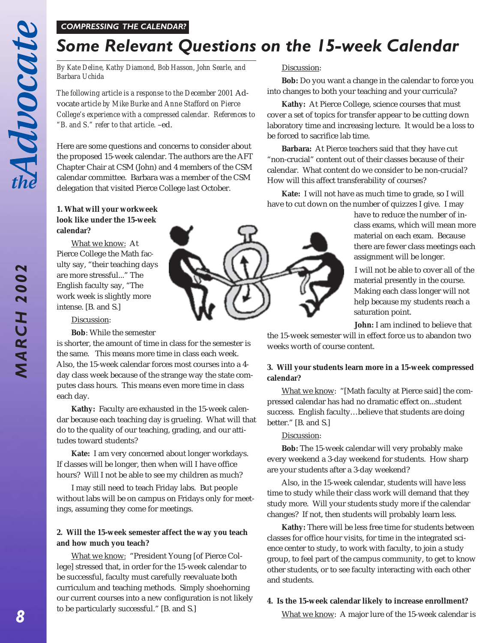**MARCH 2002** 

#### *COMPRESSING THE CALENDAR?*

# *Some Relevant Questions on the 15-week Calendar*

*By Kate Deline, Kathy Diamond, Bob Hasson, John Searle, and Barbara Uchida*

*The following article is a response to the December 2001* Advocate *article by Mike Burke and Anne Stafford on Pierce College's experience with a compressed calendar. References to "B. and S." refer to that article.* –ed.

Here are some questions and concerns to consider about the proposed 15-week calendar. The authors are the AFT Chapter Chair at CSM (John) and 4 members of the CSM calendar committee. Barbara was a member of the CSM delegation that visited Pierce College last October.

#### **1. What will your workweek look like under the 15-week calendar?**

What we know: At Pierce College the Math faculty say, "their teaching days are more stressful..." The English faculty say, "The work week is slightly more intense. [B. and S.]

#### Discussion:

**Bob**: While the semester

is shorter, the amount of time in class for the semester is the same. This means more time in class each week. Also, the 15-week calendar forces most courses into a 4 day class week because of the strange way the state computes class hours. This means even more time in class each day.

**Kathy:** Faculty are exhausted in the 15-week calendar because each teaching day is grueling. What will that do to the quality of our teaching, grading, and our attitudes toward students?

**Kate:** I am very concerned about longer workdays. If classes will be longer, then when will I have office hours? Will I not be able to see my children as much?

I may still need to teach Friday labs. But people without labs will be on campus on Fridays only for meetings, assuming they come for meetings.

#### **2. Will the 15-week semester affect the way you teach and how much you teach?**

What we know: "President Young [of Pierce College] stressed that, in order for the 15-week calendar to be successful, faculty must carefully reevaluate both curriculum and teaching methods. Simply shoehorning our current courses into a new configuration is not likely to be particularly successful." [B. and S.]

#### Discussion:

**Bob:** Do you want a change in the calendar to force you into changes to both your teaching and your curricula?

**Kathy:** At Pierce College, science courses that must cover a set of topics for transfer appear to be cutting down laboratory time and increasing lecture. It would be a loss to be forced to sacrifice lab time.

**Barbara:** At Pierce teachers said that they have cut "non-crucial" content out of their classes because of their calendar. What content do we consider to be non-crucial? How will this affect transferability of courses?

**Kate:** I will not have as much time to grade, so I will have to cut down on the number of quizzes I give. I may

> have to reduce the number of inclass exams, which will mean more material on each exam. Because there are fewer class meetings each assignment will be longer.

> I will not be able to cover all of the material presently in the course. Making each class longer will not help because my students reach a saturation point.

**John:** I am inclined to believe that

the 15-week semester will in effect force us to abandon two weeks worth of course content.

#### **3. Will your students learn more in a 15-week compressed calendar?**

What we know: "[Math faculty at Pierce said] the compressed calendar has had no dramatic effect on...student success. English faculty…believe that students are doing better." [B. and S.]

#### Discussion:

**Bob:** The 15-week calendar will very probably make every weekend a 3-day weekend for students. How sharp are your students after a 3-day weekend?

Also, in the 15-week calendar, students will have less time to study while their class work will demand that they study more. Will your students study more if the calendar changes? If not, then students will probably learn less.

**Kathy:** There will be less free time for students between classes for office hour visits, for time in the integrated science center to study, to work with faculty, to join a study group, to feel part of the campus community, to get to know other students, or to see faculty interacting with each other and students.

#### **4. Is the 15-week calendar likely to increase enrollment?**

What we know: A major lure of the 15-week calendar is

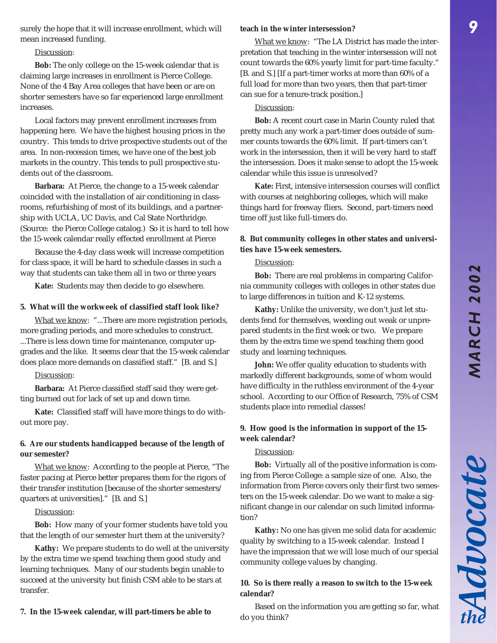Advocate

surely the hope that it will increase enrollment, which will mean increased funding.

#### Discussion:

**Bob:** The only college on the 15-week calendar that is claiming large increases in enrollment is Pierce College. None of the 4 Bay Area colleges that have been or are on shorter semesters have so far experienced large enrollment increases.

Local factors may prevent enrollment increases from happening here. We have the highest housing prices in the country. This tends to drive prospective students out of the area. In non-recession times, we have one of the best job markets in the country. This tends to pull prospective students out of the classroom.

**Barbara:** At Pierce, the change to a 15-week calendar coincided with the installation of air conditioning in classrooms, refurbishing of most of its buildings, and a partnership with UCLA, UC Davis, and Cal State Northridge. (Source: the Pierce College catalog.) So it is hard to tell how the 15-week calendar really effected enrollment at Pierce

Because the 4-day class week will increase competition for class space, it will be hard to schedule classes in such a way that students can take them all in two or three years

**Kate:** Students may then decide to go elsewhere.

#### **5. What will the workweek of classified staff look like?**

What we know: "...There are more registration periods, more grading periods, and more schedules to construct. ...There is less down time for maintenance, computer upgrades and the like. It seems clear that the 15-week calendar does place more demands on classified staff." [B. and S.]

#### Discussion:

**Barbara:** At Pierce classified staff said they were getting burned out for lack of set up and down time.

**Kate:** Classified staff will have more things to do without more pay.

#### **6. Are our students handicapped because of the length of our semester?**

What we know: According to the people at Pierce, "The faster pacing at Pierce better prepares them for the rigors of their transfer institution [because of the shorter semesters/ quarters at universities]." [B. and S.]

#### Discussion:

**Bob:** How many of your former students have told you that the length of our semester hurt them at the university?

**Kathy:** We prepare students to do well at the university by the extra time we spend teaching them good study and learning techniques. Many of our students begin unable to succeed at the university but finish CSM able to be stars at transfer.

#### **7. In the 15-week calendar, will part-timers be able to**

#### **teach in the winter intersession?**

What we know: "The LA District has made the interpretation that teaching in the winter intersession will not count towards the 60% yearly limit for part-time faculty." [B. and S.] [If a part-timer works at more than 60% of a full load for more than two years, then that part-timer can sue for a tenure-track position.]

#### Discussion:

**Bob:** A recent court case in Marin County ruled that pretty much any work a part-timer does outside of summer counts towards the 60% limit. If part-timers can't work in the intersession, then it will be very hard to staff the intersession. Does it make sense to adopt the 15-week calendar while this issue is unresolved?

**Kate:** First, intensive intersession courses will conflict with courses at neighboring colleges, which will make things hard for freeway fliers. Second, part-timers need time off just like full-timers do.

#### **8. But community colleges in other states and universities have 15-week semesters.**

#### Discussion:

**Bob:** There are real problems in comparing California community colleges with colleges in other states due to large differences in tuition and K-12 systems.

**Kathy:** Unlike the university, we don't just let students fend for themselves, weeding out weak or unprepared students in the first week or two. We prepare them by the extra time we spend teaching them good study and learning techniques.

**John:** We offer quality education to students with markedly different backgrounds, some of whom would have difficulty in the ruthless environment of the 4-year school. According to our Office of Research, 75% of CSM students place into remedial classes!

#### **9. How good is the information in support of the 15 week calendar?**

#### Discussion:

**Bob:** Virtually all of the positive information is coming from Pierce College: a sample size of one. Also, the information from Pierce covers only their first two semesters on the 15-week calendar. Do we want to make a significant change in our calendar on such limited information?

**Kathy:** No one has given me solid data for academic quality by switching to a 15-week calendar. Instead I have the impression that we will lose much of our special community college values by changing.

#### **10. So is there really a reason to switch to the 15-week calendar?**

Based on the information you are getting so far, what do you think?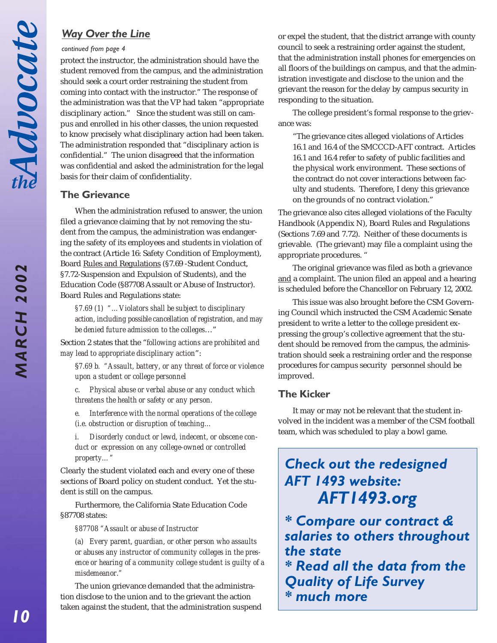**MARCH 2002** 

#### *continued from page 4*

protect the instructor, the administration should have the student removed from the campus, and the administration should seek a court order restraining the student from coming into contact with the instructor." The response of the administration was that the VP had taken "appropriate disciplinary action." Since the student was still on campus and enrolled in his other classes, the union requested to know precisely what disciplinary action had been taken. The administration responded that "disciplinary action is confidential." The union disagreed that the information was confidential and asked the administration for the legal basis for their claim of confidentiality.

## **The Grievance**

When the administration refused to answer, the union filed a grievance claiming that by not removing the student from the campus, the administration was endangering the safety of its employees and students in violation of the contract (Article 16: Safety Condition of Employment), Board Rules and Regulations (§7.69 -Student Conduct, §7.72-Suspension and Expulsion of Students), and the Education Code (§87708 Assault or Abuse of Instructor). Board Rules and Regulations state:

*§7.69 (1) "…Violators shall be subject to disciplinary action, including possible cancellation of registration, and may be denied future admission to the colleges*…"

Section 2 states that the "*following actions are prohibited and may lead to appropriate disciplinary action*":

§*7.69 b. "Assault, battery, or any threat of force or violence upon a student or college personnel*

*c. Physical abuse or verbal abuse or any conduct which threatens the health or safety or any person.*

*e. Interference with the normal operations of the college (i.e. obstruction or disruption of teaching…*

*i. Disorderly conduct or lewd, indecent, or obscene conduct or expression on any college-owned or controlled property…"*

Clearly the student violated each and every one of these sections of Board policy on student conduct. Yet the student is still on the campus.

Furthermore, the California State Education Code §87708 states:

*§87708 "Assault or abuse of Instructor*

*(a) Every parent, guardian, or other person who assaults or abuses any instructor of community colleges in the presence or hearing of a community college student is guilty of a misdemeanor."*

The union grievance demanded that the administration disclose to the union and to the grievant the action taken against the student, that the administration suspend

*Way Over the Line* or expel the student, that the district arrange with county council to seek a restraining order against the student, that the administration install phones for emergencies on all floors of the buildings on campus, and that the administration investigate and disclose to the union and the grievant the reason for the delay by campus security in responding to the situation.

> The college president's formal response to the grievance was:

"The grievance cites alleged violations of Articles 16.1 and 16.4 of the SMCCCD-AFT contract. Articles 16.1 and 16.4 refer to safety of public facilities and the physical work environment. These sections of the contract do not cover interactions between faculty and students. Therefore, I deny this grievance on the grounds of no contract violation."

The grievance also cites alleged violations of the Faculty Handbook (Appendix N), Board Rules and Regulations (Sections 7.69 and 7.72). Neither of these documents is grievable. (The grievant) may file a complaint using the appropriate procedures. "

The original grievance was filed as both a grievance and a complaint. The union filed an appeal and a hearing is scheduled before the Chancellor on February 12, 2002.

This issue was also brought before the CSM Governing Council which instructed the CSM Academic Senate president to write a letter to the college president expressing the group's collective agreement that the student should be removed from the campus, the administration should seek a restraining order and the response procedures for campus security personnel should be improved.

# **The Kicker**

It may or may not be relevant that the student involved in the incident was a member of the CSM football team, which was scheduled to play a bowl game.

# *Check out the redesigned AFT 1493 website: AFT1493.org*

*\* Compare our contract & salaries to others throughout the state \* Read all the data from the Quality of Life Survey \* much more*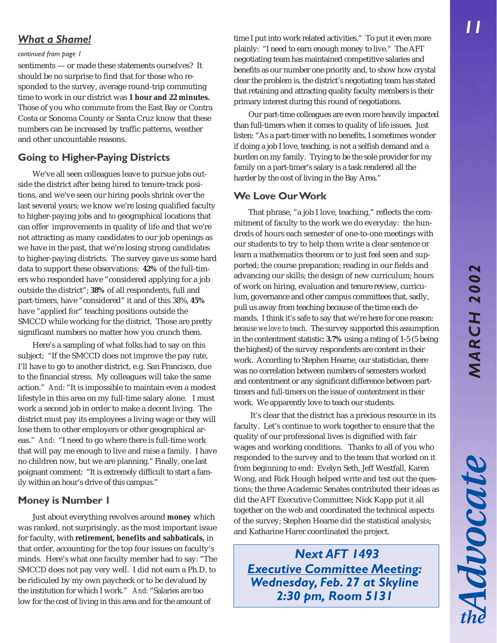Advocate

# *What a Shame!*

#### *continued from page 1*

sentiments — or made these statements ourselves? It should be no surprise to find that for those who responded to the survey, average round-trip commuting time to work in our district was **1 hour and 22 minutes.** Those of you who commute from the East Bay or Contra Costa or Sonoma County or Santa Cruz know that these numbers can be increased by traffic patterns, weather and other uncountable reasons.

## **Going to Higher-Paying Districts**

We've all seen colleagues leave to pursue jobs outside the district after being hired to tenure-track positions, and we've seen our hiring pools shrink over the last several years; we know we're losing qualified faculty to higher-paying jobs and to geographical locations that can offer improvements in quality of life and that we're not attracting as many candidates to our job openings as we have in the past, that we're losing strong candidates to higher-paying districts. The survey gave us some hard data to support these observations: **42%** of the full-timers who responded have "considered applying for a job outside the district"; **38%** of all respondents, full and part-timers, have "considered" it and of this 38%, **45%** have "applied for" teaching positions outside the SMCCD while working for the district. Those are pretty significant numbers no matter how you crunch them.

Here's a sampling of what folks had to say on this subject: "If the SMCCD does not improve the pay rate, I'll have to go to another district, e.g. San Francisco, due to the financial stress. My colleagues will take the same action." *And*: "It is impossible to maintain even a modest lifestyle in this area on my full-time salary alone. I must work a second job in order to make a decent living. The district must pay its employees a living wage or they will lose them to other employers or other geographical areas." *And*: "I need to go where there is full-time work that will pay me enough to live and raise a family. I have no children now, but we are planning." Finally, one last poignant comment: "It is extremely difficult to start a family within an hour's drive of this campus."

# **Money is Number 1**

Just about everything revolves around **money** which was ranked, not surprisingly, as the most important issue for faculty, with **retirement, benefits and sabbaticals,** in that order, accounting for the top four issues on faculty's minds. Here's what one faculty member had to say: "The SMCCD does not pay very well. I did not earn a Ph.D. to be ridiculed by my own paycheck or to be devalued by the institution for which I work." *And:* "Salaries are too low for the cost of living in this area and for the amount of

time I put into work related activities." To put it even more plainly: "I need to earn enough money to live." The AFT negotiating team has maintained competitive salaries and benefits as our number one priority and, to show how crystal clear the problem is, the district's negotiating team has stated that retaining and attracting quality faculty members is their primary interest during this round of negotiations.

Our part-time colleagues are even more heavily impacted than full-timers when it comes to quality of life issues. Just listen: "As a part-timer with no benefits, I sometimes wonder if doing a job I love, teaching, is not a selfish demand and a burden on my family. Trying to be the sole provider for my family on a part-timer's salary is a task rendered all the harder by the cost of living in the Bay Area."

# **We Love Our Work**

That phrase, "a job I love, teaching," reflects the commitment of faculty to the work we do everyday: the hundreds of hours each semester of one-to-one meetings with our students to try to help them write a clear sentence or learn a mathematics theorem or to just feel seen and supported; the course preparation; reading in our fields and advancing our skills; the design of new curriculum; hours of work on hiring, evaluation and tenure review, curriculum, governance and other campus committees that, sadly, pull us away from teaching because of the time each demands. I think it's safe to say that we're here for one reason: *because we love to teach*. The survey supported this assumption in the contentment statistic: **3.7%** using a rating of 1-5 (5 being the highest) of the survey respondents are content in their work. According to Stephen Hearne, our statistician, there was no correlation between numbers of semesters worked and contentment or any significant difference between parttimers and full-timers on the issue of contentment in their work. We apparently love to teach our students.

 It's clear that the district has a precious resource in its faculty. Let's continue to work together to ensure that the quality of our professional lives is dignified with fair wages and working conditions. Thanks to all of you who responded to the survey and to the team that worked on it from beginning to end: Evelyn Seth, Jeff Westfall, Karen Wong, and Rick Hough helped write and test out the questions; the three Academic Senates contributed their ideas as did the AFT Executive Committee; Nick Kapp put it all together on the web and coordinated the technical aspects of the survey; Stephen Hearne did the statistical analysis; and Katharine Harer coordinated the project.

*Next AFT 1493 Executive Committee Meeting: Wednesday, Feb. 27 at Skyline 2:30 pm, Room 5131*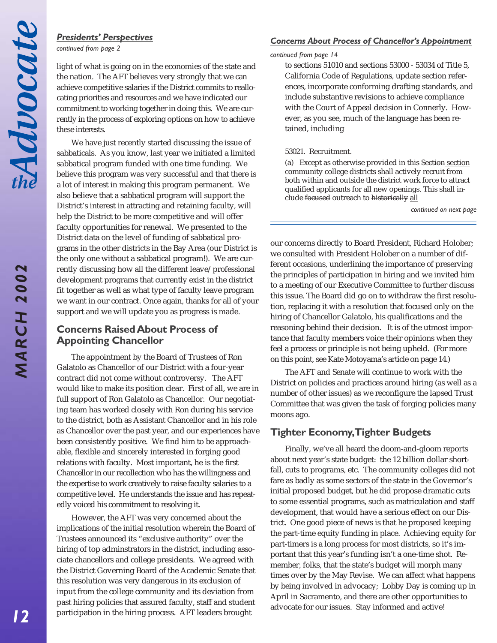## *Presidents' Perspectives*

*continued from page 2*

light of what is going on in the economies of the state and the nation. The AFT believes very strongly that we can achieve competitive salaries if the District commits to reallocating priorities and resources and we have indicated our commitment to working together in doing this. We are currently in the process of exploring options on how to achieve these interests.

We have just recently started discussing the issue of sabbaticals. As you know, last year we initiated a limited sabbatical program funded with one time funding. We believe this program was very successful and that there is a lot of interest in making this program permanent. We also believe that a sabbatical program will support the District's interest in attracting and retaining faculty, will help the District to be more competitive and will offer faculty opportunities for renewal. We presented to the District data on the level of funding of sabbatical programs in the other districts in the Bay Area (our District is the only one without a sabbatical program!). We are currently discussing how all the different leave/professional development programs that currently exist in the district fit together as well as what type of faculty leave program we want in our contract. Once again, thanks for all of your support and we will update you as progress is made.

# **Concerns Raised About Process of Appointing Chancellor**

The appointment by the Board of Trustees of Ron Galatolo as Chancellor of our District with a four-year contract did not come without controversy. The AFT would like to make its position clear. First of all, we are in full support of Ron Galatolo as Chancellor. Our negotiating team has worked closely with Ron during his service to the district, both as Assistant Chancellor and in his role as Chancellor over the past year, and our experiences have been consistently positive. We find him to be approachable, flexible and sincerely interested in forging good relations with faculty. Most important, he is the first Chancellor in our recollection who has the willingness and the expertise to work creatively to raise faculty salaries to a competitive level. He understands the issue and has repeatedly voiced his commitment to resolving it.

However, the AFT was very concerned about the implications of the initial resolution wherein the Board of Trustees announced its "exclusive authority" over the hiring of top adminstrators in the district, including associate chancellors and college presidents. We agreed with the District Governing Board of the Academic Senate that this resolution was very dangerous in its exclusion of input from the college community and its deviation from past hiring policies that assured faculty, staff and student participation in the hiring process. AFT leaders brought

#### *Concerns About Process of Chancellor's Appointment*

#### *continued from page 14*

to sections 51010 and sections 53000 - 53034 of Title 5, California Code of Regulations, update section references, incorporate conforming drafting standards, and include substantive revisions to achieve compliance with the Court of Appeal decision in Connerly. However, as you see, much of the language has been retained, including

#### 53021. Recruitment.

(a) Except as otherwise provided in this Section section community college districts shall actively recruit from both within and outside the district work force to attract qualified applicants for all new openings. This shall include focused outreach to historically all

*continued on next page*

our concerns directly to Board President, Richard Holober; we consulted with President Holober on a number of different occasions, underlining the importance of preserving the principles of participation in hiring and we invited him to a meeting of our Executive Committee to further discuss this issue. The Board did go on to withdraw the first resolution, replacing it with a resolution that focused only on the hiring of Chancellor Galatolo, his qualifications and the reasoning behind their decision. It is of the utmost importance that faculty members voice their opinions when they feel a process or principle is not being upheld. (For more on this point, see Kate Motoyama's article on page 14.)

The AFT and Senate will continue to work with the District on policies and practices around hiring (as well as a number of other issues) as we reconfigure the lapsed Trust Committee that was given the task of forging policies many moons ago.

# **Tighter Economy, Tighter Budgets**

Finally, we've all heard the doom-and-gloom reports about next year's state budget: the 12 billion dollar shortfall, cuts to programs, etc. The community colleges did not fare as badly as some sectors of the state in the Governor's initial proposed budget, but he did propose dramatic cuts to some essential programs, such as matriculation and staff development, that would have a serious effect on our District. One good piece of news is that he proposed keeping the part-time equity funding in place. Achieving equity for part-timers is a long process for most districts, so it's important that this year's funding isn't a one-time shot. Remember, folks, that the state's budget will morph many times over by the May Revise. We can affect what happens by being involved in advocacy; Lobby Day is coming up in April in Sacramento, and there are other opportunities to advocate for our issues. Stay informed and active!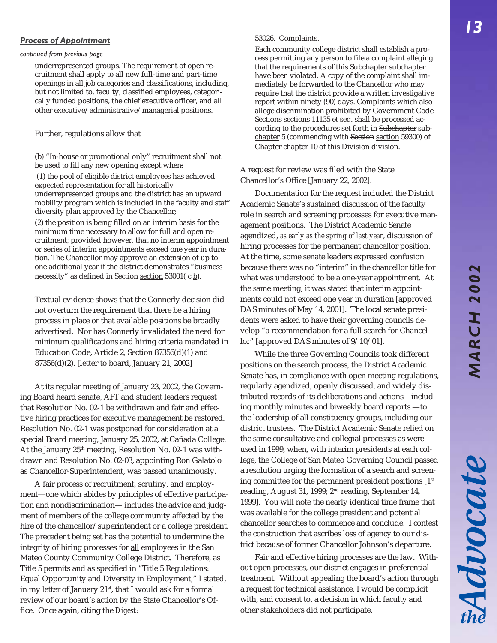# **MARCH 2002** *MARCH 2002*

Advocate

#### *Process of Appointment*

#### *continued from previous page*

underrepresented groups. The requirement of open recruitment shall apply to all new full-time and part-time openings in all job categories and classifications, including, but not limited to, faculty, classified employees, categorically funded positions, the chief executive officer, and all other executive/administrative/managerial positions.

#### Further, regulations allow that

(b) "In-house or promotional only" recruitment shall not be used to fill any new opening except when:

 (1) the pool of eligible district employees has achieved expected representation for all historically underrepresented groups and the district has an upward mobility program which is included in the faculty and staff diversity plan approved by the Chancellor;

 $(2)$  the position is being filled on an interim basis for the minimum time necessary to allow for full and open recruitment; provided however, that no interim appointment or series of interim appointments exceed one year in duration. The Chancellor may approve an extension of up to one additional year if the district demonstrates "business necessity" as defined in Section section 53001( e b).

Textual evidence shows that the Connerly decision did not overturn the requirement that there be a hiring process in place or that available positions be broadly advertised. Nor has Connerly invalidated the need for minimum qualifications and hiring criteria mandated in Education Code, Article 2, Section 87356(d)(1) and 87356(d)(2). [letter to board, January 21, 2002]

At its regular meeting of January 23, 2002, the Governing Board heard senate, AFT and student leaders request that Resolution No. 02-1 be withdrawn and fair and effective hiring practices for executive management be restored. Resolution No. 02-1 was postponed for consideration at a special Board meeting, January 25, 2002, at Cañada College. At the January 25<sup>th</sup> meeting, Resolution No. 02-1 was withdrawn and Resolution No. 02-03, appointing Ron Galatolo as Chancellor-Superintendent, was passed unanimously.

A fair process of recruitment, scrutiny, and employment—one which abides by principles of effective participation and nondiscrimination— includes the advice and judgment of members of the college community affected by the hire of the chancellor/superintendent or a college president. The precedent being set has the potential to undermine the integrity of hiring processes for all employees in the San Mateo County Community College District. Therefore, as Title 5 permits and as specified in "Title 5 Regulations: Equal Opportunity and Diversity in Employment," I stated, in my letter of January 21<sup>st</sup>, that I would ask for a formal review of our board's action by the State Chancellor's Office. Once again, citing the *Digest*:

#### 53026. Complaints.

Each community college district shall establish a process permitting any person to file a complaint alleging that the requirements of this Subchapter subchapter have been violated. A copy of the complaint shall immediately be forwarded to the Chancellor who may require that the district provide a written investigative report within ninety (90) days. Complaints which also allege discrimination prohibited by Government Code Sections sections 11135 et seq. shall be processed according to the procedures set forth in Subchapter subchapter 5 (commencing with Section section 59300) of Chapter chapter 10 of this Division division.

#### A request for review was filed with the State Chancellor's Office [January 22, 2002].

Documentation for the request included the District Academic Senate's sustained discussion of the faculty role in search and screening processes for executive management positions. The District Academic Senate agendized, *as early as the spring of last year*, discussion of hiring processes for the permanent chancellor position. At the time, some senate leaders expressed confusion because there was no "interim" in the chancellor title for what was understood to be a one-year appointment. At the same meeting, it was stated that interim appointments could not exceed one year in duration [approved DAS minutes of May 14, 2001]. The local senate presidents were asked to have their governing councils develop "a recommendation for a full search for Chancellor" [approved DAS minutes of 9/10/01].

While the three Governing Councils took different positions on the search process, the District Academic Senate has, in compliance with open meeting regulations, regularly agendized, openly discussed, and widely distributed records of its deliberations and actions—including monthly minutes and biweekly board reports —to the leadership of all constituency groups, including our district trustees. The District Academic Senate relied on the same consultative and collegial processes as were used in 1999, when, with interim presidents at each college, the College of San Mateo Governing Council passed a resolution urging the formation of a search and screening committee for the permanent president positions  $[1<sup>st</sup>$ reading, August 31, 1999; 2nd reading, September 14, 1999]. You will note the nearly identical time frame that was available for the college president and potential chancellor searches to commence and conclude. I contest the construction that ascribes loss of agency to our district because of former Chancellor Johnson's departure.

Fair and effective hiring processes are the law. Without open processes, our district engages in preferential treatment. Without appealing the board's action through a request for technical assistance, I would be complicit with, and consent to, a decision in which faculty and other stakeholders did not participate.